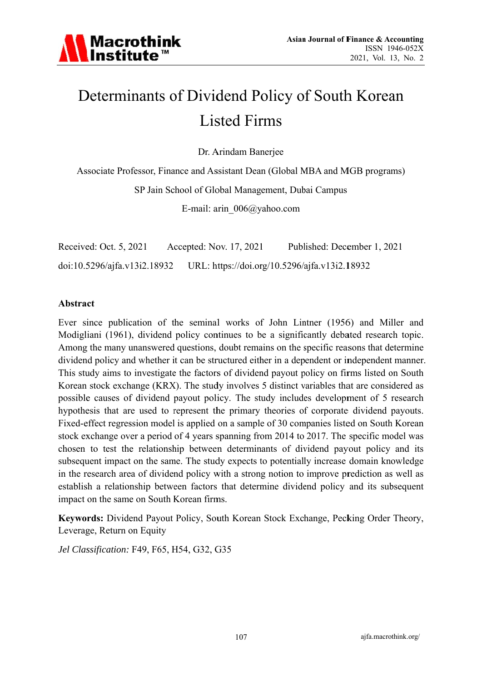

# Determinants of Dividend Policy of South Korean **Listed Firms**

Dr. Arindam Banerjee

Associate Professor, Finance and Assistant Dean (Global MBA and MGB programs) SP Jain School of Global Management, Dubai Campus

E-mail: arin  $006$ @yahoo.com

Received: Oct. 5, 2021 Accepted: Nov. 17, 2021 Published: December 1, 2021 doi:10.5296/ajfa.v13i2.18932 URL: https://doi.org/10.5296/ajfa.v13i2.18932

#### **Abstract**

Ever since publication of the seminal works of John Lintner (1956) and Miller and Modigliani (1961), dividend policy continues to be a significantly debated research topic. Among the many unanswered questions, doubt remains on the specific reasons that determine dividend policy and whether it can be structured either in a dependent or independent manner. This study aims to investigate the factors of dividend payout policy on firms listed on South Korean stock exchange (KRX). The study involves 5 distinct variables that are considered as possible causes of dividend payout policy. The study includes development of 5 research hypothesis that are used to represent the primary theories of corporate dividend payouts. Fixed-effect regression model is applied on a sample of 30 companies listed on South Korean stock exchange over a period of 4 years spanning from 2014 to 2017. The specific model was chosen to test the relationship between determinants of dividend payout policy and its subsequent impact on the same. The study expects to potentially increase domain knowledge in the research area of dividend policy with a strong notion to improve prediction as well as establish a relationship between factors that determine dividend policy and its subsequent impact on the same on South Korean firms.

Keywords: Dividend Payout Policy, South Korean Stock Exchange, Pecking Order Theory, Leverage, Return on Equity

Jel Classification: F49, F65, H54, G32, G35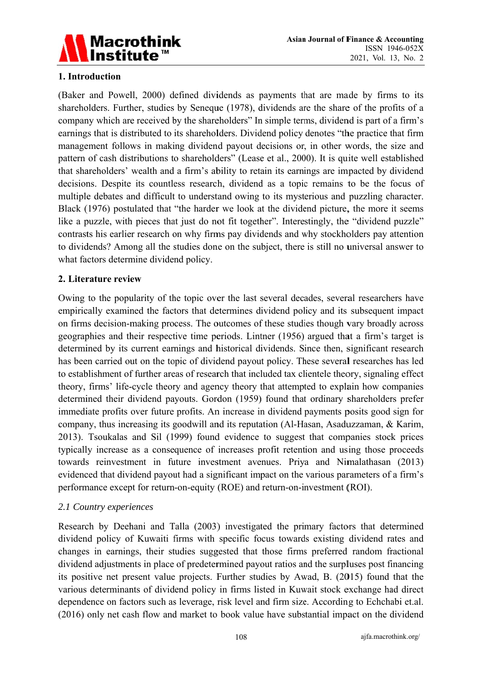

# 1. Introduction

(Baker and Powell, 2000) defined dividends as payments that are made by firms to its shareholders. Further, studies by Seneque (1978), dividends are the share of the profits of a company which are received by the shareholders" In simple terms, dividend is part of a firm's earnings that is distributed to its shareholders. Dividend policy denotes "the practice that firm management follows in making dividend payout decisions or, in other words, the size and pattern of cash distributions to shareholders" (Lease et al., 2000). It is quite well established that shareholders' wealth and a firm's ability to retain its earnings are impacted by dividend decisions. Despite its countless research, dividend as a topic remains to be the focus of multiple debates and difficult to understand owing to its mysterious and puzzling character. Black (1976) postulated that "the harder we look at the dividend picture, the more it seems like a puzzle, with pieces that just do not fit together". Interestingly, the "dividend puzzle" contrasts his earlier research on why firms pay dividends and why stockholders pay attention to dividends? Among all the studies done on the subject, there is still no universal answer to what factors determine dividend policy.

#### 2. Literature review

Owing to the popularity of the topic over the last several decades, several researchers have empirically examined the factors that determines dividend policy and its subsequent impact on firms decision-making process. The outcomes of these studies though vary broadly across geographies and their respective time periods. Lintner (1956) argued that a firm's target is determined by its current earnings and historical dividends. Since then, significant research has been carried out on the topic of dividend payout policy. These several researches has led to establishment of further areas of research that included tax clientele theory, signaling effect theory, firms' life-cycle theory and agency theory that attempted to explain how companies determined their dividend payouts. Gordon (1959) found that ordinary shareholders prefer immediate profits over future profits. An increase in dividend payments posits good sign for company, thus increasing its goodwill and its reputation (Al-Hasan, Asaduzzaman, & Karim, 2013). Tsoukalas and Sil (1999) found evidence to suggest that companies stock prices typically increase as a consequence of increases profit retention and using those proceeds towards reinvestment in future investment avenues. Priya and Nimalathasan (2013) evidenced that dividend payout had a significant impact on the various parameters of a firm's performance except for return-on-equity (ROE) and return-on-investment (ROI).

### 2.1 Country experiences

Research by Deehani and Talla (2003) investigated the primary factors that determined dividend policy of Kuwaiti firms with specific focus towards existing dividend rates and changes in earnings, their studies suggested that those firms preferred random fractional dividend adjustments in place of predetermined payout ratios and the surpluses post financing its positive net present value projects. Further studies by Awad, B. (2015) found that the various determinants of dividend policy in firms listed in Kuwait stock exchange had direct dependence on factors such as leverage, risk level and firm size. According to Echchabi et.al. (2016) only net cash flow and market to book value have substantial impact on the dividend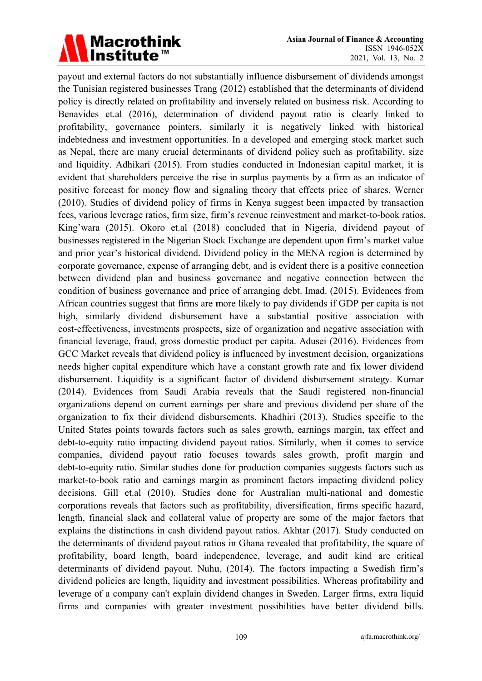# Macrothink<br>Institute™

payout and external factors do not substantially influence disbursement of dividends amongst the Tunisian registered businesses Trang (2012) established that the determinants of dividend policy is directly related on profitability and inversely related on business risk. According to Benavides et.al (2016), determination of dividend payout ratio is clearly linked to profitability, governance pointers, similarly it is negatively linked with historical indebtedness and investment opportunities. In a developed and emerging stock market such as Nepal, there are many crucial determinants of dividend policy such as profitability, size and liquidity. Adhikari (2015). From studies conducted in Indonesian capital market, it is evident that shareholders perceive the rise in surplus payments by a firm as an indicator of positive forecast for money flow and signaling theory that effects price of shares, Werner (2010). Studies of dividend policy of firms in Kenya suggest been impacted by transaction fees, various leverage ratios, firm size, firm's revenue reinvestment and market-to-book ratios. King'wara (2015). Okoro et.al (2018) concluded that in Nigeria, dividend payout of businesses registered in the Nigerian Stock Exchange are dependent upon firm's market value and prior year's historical dividend. Dividend policy in the MENA region is determined by corporate governance, expense of arranging debt, and is evident there is a positive connection between dividend plan and business governance and negative connection between the condition of business governance and price of arranging debt. Imad. (2015). Evidences from African countries suggest that firms are more likely to pay dividends if GDP per capita is not high, similarly dividend disbursement have a substantial positive association with cost-effectiveness, investments prospects, size of organization and negative association with financial leverage, fraud, gross domestic product per capita. Adusei (2016). Evidences from GCC Market reveals that dividend policy is influenced by investment decision, organizations needs higher capital expenditure which have a constant growth rate and fix lower dividend disbursement. Liquidity is a significant factor of dividend disbursement strategy. Kumar (2014). Evidences from Saudi Arabia reveals that the Saudi registered non-financial organizations depend on current earnings per share and previous dividend per share of the organization to fix their dividend disbursements. Khadhiri (2013). Studies specific to the United States points towards factors such as sales growth, earnings margin, tax effect and debt-to-equity ratio impacting dividend payout ratios. Similarly, when it comes to service companies, dividend payout ratio focuses towards sales growth, profit margin and debt-to-equity ratio. Similar studies done for production companies suggests factors such as market-to-book ratio and earnings margin as prominent factors impacting dividend policy decisions. Gill et.al (2010). Studies done for Australian multi-national and domestic corporations reveals that factors such as profitability, diversification, firms specific hazard, length, financial slack and collateral value of property are some of the major factors that explains the distinctions in cash dividend payout ratios. Akhtar (2017). Study conducted on the determinants of dividend payout ratios in Ghana revealed that profitability, the square of profitability, board length, board independence, leverage, and audit kind are critical determinants of dividend payout. Nuhu, (2014). The factors impacting a Swedish firm's dividend policies are length, liquidity and investment possibilities. Whereas profitability and leverage of a company can't explain dividend changes in Sweden. Larger firms, extra liquid firms and companies with greater investment possibilities have better dividend bills.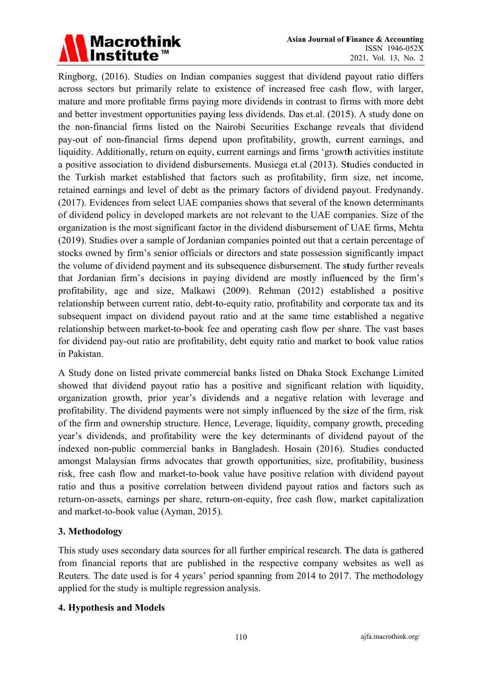

Ringborg, (2016). Studies on Indian companies suggest that dividend payout ratio differs across sectors but primarily relate to existence of increased free cash flow, with larger, mature and more profitable firms paying more dividends in contrast to firms with more debt and better investment opportunities paying less dividends. Das et.al. (2015). A study done on the non-financial firms listed on the Nairobi Securities Exchange reveals that dividend pay-out of non-financial firms depend upon profitability, growth, current earnings, and liquidity. Additionally, return on equity, current earnings and firms 'growth activities institute a positive association to dividend disbursements. Musiega et.al (2013). Studies conducted in the Turkish market established that factors such as profitability, firm size, net income, retained earnings and level of debt as the primary factors of dividend payout. Fredynandy. (2017). Evidences from select UAE companies shows that several of the known determinants of dividend policy in developed markets are not relevant to the UAE companies. Size of the organization is the most significant factor in the dividend disbursement of UAE firms, Mehta (2019). Studies over a sample of Jordanian companies pointed out that a certain percentage of stocks owned by firm's senior officials or directors and state possession significantly impact the volume of dividend payment and its subsequence disbursement. The study further reveals that Jordanian firm's decisions in paying dividend are mostly influenced by the firm's profitability, age and size, Malkawi (2009). Rehman (2012) established a positive relationship between current ratio, debt-to-equity ratio, profitability and corporate tax and its subsequent impact on dividend payout ratio and at the same time established a negative relationship between market-to-book fee and operating cash flow per share. The vast bases for dividend pay-out ratio are profitability, debt equity ratio and market to book value ratios in Pakistan.

A Study done on listed private commercial banks listed on Dhaka Stock Exchange Limited showed that dividend payout ratio has a positive and significant relation with liquidity, organization growth, prior year's dividends and a negative relation with leverage and profitability. The dividend payments were not simply influenced by the size of the firm, risk of the firm and ownership structure. Hence, Leverage, liquidity, company growth, preceding year's dividends, and profitability were the key determinants of dividend payout of the indexed non-public commercial banks in Bangladesh. Hosain (2016). Studies conducted amongst Malaysian firms advocates that growth opportunities, size, profitability, business risk, free cash flow and market-to-book value have positive relation with dividend payout ratio and thus a positive correlation between dividend payout ratios and factors such as return-on-assets, earnings per share, return-on-equity, free cash flow, market capitalization and market-to-book value (Ayman, 2015).

### 3. Methodology

This study uses secondary data sources for all further empirical research. The data is gathered from financial reports that are published in the respective company websites as well as Reuters. The date used is for 4 years' period spanning from 2014 to 2017. The methodology applied for the study is multiple regression analysis.

### 4. Hypothesis and Models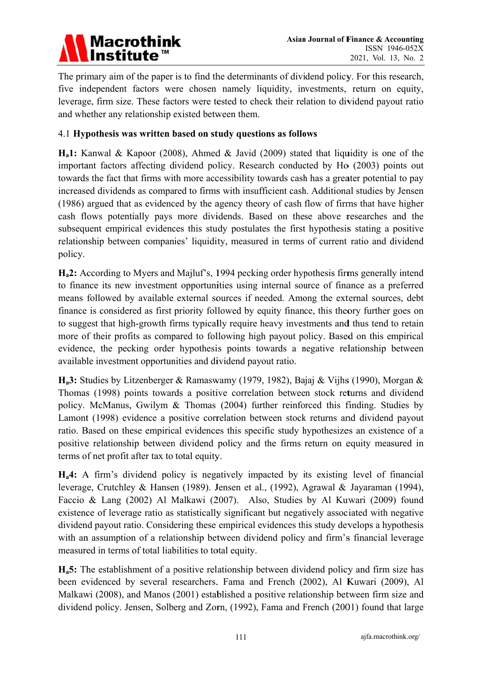

The primary aim of the paper is to find the determinants of dividend policy. For this research, five independent factors were chosen namely liquidity, investments, return on equity, leverage, firm size. These factors were tested to check their relation to dividend payout ratio and whether any relationship existed between them.

# 4.1 Hypothesis was written based on study questions as follows

 $H_a$ 1: Kanwal & Kapoor (2008), Ahmed & Javid (2009) stated that liquidity is one of the important factors affecting dividend policy. Research conducted by Ho (2003) points out towards the fact that firms with more accessibility towards cash has a greater potential to pay increased dividends as compared to firms with insufficient cash. Additional studies by Jensen (1986) argued that as evidenced by the agency theory of cash flow of firms that have higher cash flows potentially pays more dividends. Based on these above researches and the subsequent empirical evidences this study postulates the first hypothesis stating a positive relationship between companies' liquidity, measured in terms of current ratio and dividend policy.

 $H_a$ 2: According to Myers and Majluf's, 1994 pecking order hypothesis firms generally intend to finance its new investment opportunities using internal source of finance as a preferred means followed by available external sources if needed. Among the external sources, debt finance is considered as first priority followed by equity finance, this theory further goes on to suggest that high-growth firms typically require heavy investments and thus tend to retain more of their profits as compared to following high payout policy. Based on this empirical evidence, the pecking order hypothesis points towards a negative relationship between available investment opportunities and dividend payout ratio.

 $H_a$ 3: Studies by Litzenberger & Ramaswamy (1979, 1982), Bajaj & Vijhs (1990), Morgan & Thomas (1998) points towards a positive correlation between stock returns and dividend policy. McManus, Gwilym & Thomas (2004) further reinforced this finding. Studies by Lamont (1998) evidence a positive correlation between stock returns and dividend payout ratio. Based on these empirical evidences this specific study hypothesizes an existence of a positive relationship between dividend policy and the firms return on equity measured in terms of net profit after tax to total equity.

 $H_a$ 4: A firm's dividend policy is negatively impacted by its existing level of financial leverage, Crutchley & Hansen (1989). Jensen et al., (1992), Agrawal & Jayaraman (1994), Faccio & Lang (2002) Al Malkawi (2007). Also, Studies by Al Kuwari (2009) found existence of leverage ratio as statistically significant but negatively associated with negative dividend payout ratio. Considering these empirical evidences this study develops a hypothesis with an assumption of a relationship between dividend policy and firm's financial leverage measured in terms of total liabilities to total equity.

 $H_a$ 5: The establishment of a positive relationship between dividend policy and firm size has been evidenced by several researchers. Fama and French (2002), Al Kuwari (2009), Al Malkawi (2008), and Manos (2001) established a positive relationship between firm size and dividend policy. Jensen, Solberg and Zorn, (1992), Fama and French (2001) found that large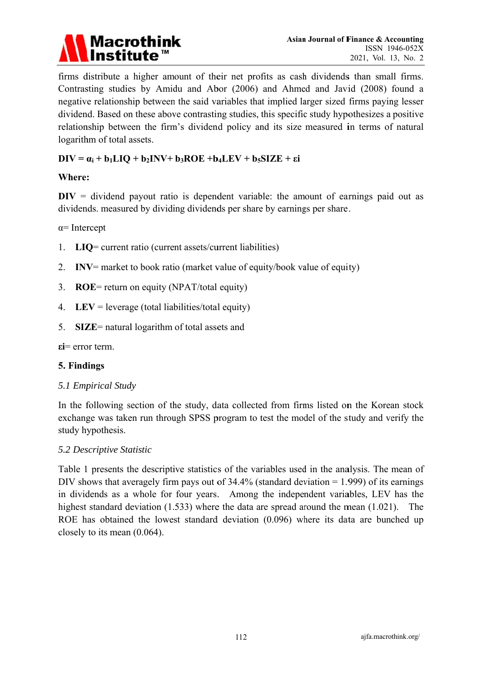

firms distribute a higher amount of their net profits as cash dividends than small firms. Contrasting studies by Amidu and Abor (2006) and Ahmed and Javid (2008) found a negative relationship between the said variables that implied larger sized firms paying lesser dividend. Based on these above contrasting studies, this specific study hypothesizes a positive relationship between the firm's dividend policy and its size measured in terms of natural logarithm of total assets.

# $DIV = \alpha_i + b_1LIQ + b_2INV + b_3ROE + b_4LEV + b_5SIZE + \epsilon i$

#### Where:

 $DIV = dividend$  payout ratio is dependent variable: the amount of earnings paid out as dividends. measured by dividing dividends per share by earnings per share.

 $\alpha$ = Intercept

- $LIQ=$  current ratio (current assets/current liabilities) 1.
- 2. INV= market to book ratio (market value of equity/book value of equity)
- 3.  $ROE = return on equity (NPATH/total equity)$
- 4. LEV = leverage (total liabilities/total equity)
- 5. SIZE= natural logarithm of total assets and

 $\epsilon i$  = error term.

#### 5. Findings

5.1 Empirical Study

In the following section of the study, data collected from firms listed on the Korean stock exchange was taken run through SPSS program to test the model of the study and verify the study hypothesis.

#### 5.2 Descriptive Statistic

Table 1 presents the descriptive statistics of the variables used in the analysis. The mean of DIV shows that averagely firm pays out of  $34.4\%$  (standard deviation = 1.999) of its earnings in dividends as a whole for four years. Among the independent variables, LEV has the highest standard deviation  $(1.533)$  where the data are spread around the mean  $(1.021)$ . The ROE has obtained the lowest standard deviation (0.096) where its data are bunched up closely to its mean  $(0.064)$ .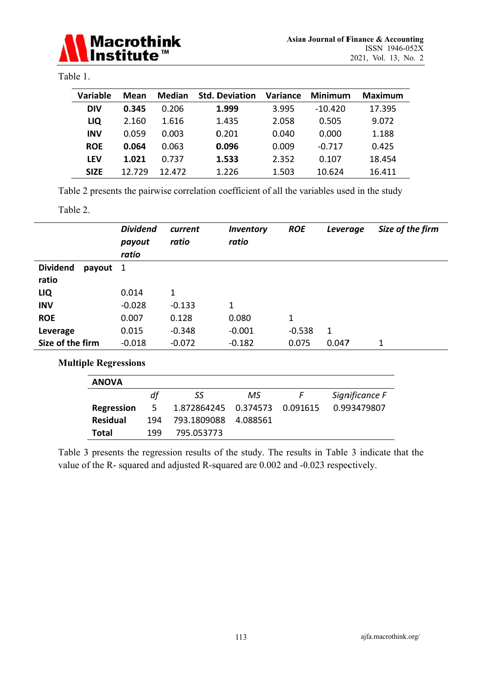

# Table 1.

| <b>Variable</b> | Mean   | <b>Median</b> | <b>Std. Deviation</b> | <b>Variance</b> | Minimum   | Maximum |
|-----------------|--------|---------------|-----------------------|-----------------|-----------|---------|
| <b>DIV</b>      | 0.345  | 0.206         | 1.999                 | 3.995           | $-10.420$ | 17.395  |
| LIQ             | 2.160  | 1.616         | 1.435                 | 2.058           | 0.505     | 9.072   |
| <b>INV</b>      | 0.059  | 0.003         | 0.201                 | 0.040           | 0.000     | 1.188   |
| <b>ROE</b>      | 0.064  | 0.063         | 0.096                 | 0.009           | $-0.717$  | 0.425   |
| <b>LEV</b>      | 1.021  | 0.737         | 1.533                 | 2.352           | 0.107     | 18.454  |
| <b>SIZE</b>     | 12.729 | 12.472        | 1.226                 | 1.503           | 10.624    | 16.411  |

Table 2 presents the pairwise correlation coefficient of all the variables used in the study

#### Table 2.

|                             | <b>Dividend</b><br>payout<br>ratio | current<br>ratio | Inventory<br>ratio | <b>ROE</b>   | Leverage | Size of the firm |  |
|-----------------------------|------------------------------------|------------------|--------------------|--------------|----------|------------------|--|
| <b>Dividend</b><br>payout 1 |                                    |                  |                    |              |          |                  |  |
| ratio                       |                                    |                  |                    |              |          |                  |  |
| LIQ                         | 0.014                              | 1                |                    |              |          |                  |  |
| <b>INV</b>                  | $-0.028$                           | $-0.133$         | $\mathbf 1$        |              |          |                  |  |
| <b>ROE</b>                  | 0.007                              | 0.128            | 0.080              | $\mathbf{1}$ |          |                  |  |
| Leverage                    | 0.015                              | $-0.348$         | $-0.001$           | $-0.538$     | 1        |                  |  |
| Size of the firm            | $-0.018$                           | $-0.072$         | $-0.182$           | 0.075        | 0.047    | $\mathbf 1$      |  |
| <b>Multiple Regressions</b> |                                    |                  |                    |              |          |                  |  |
| <b>ANOVA</b>                |                                    |                  |                    |              |          |                  |  |

|                   | df  | SS                              | MS. | $\vdash$ | Significance F |
|-------------------|-----|---------------------------------|-----|----------|----------------|
|                   |     |                                 |     |          |                |
| <b>Regression</b> | -5  | 1.872864245  0.374573  0.091615 |     |          | 0.993479807    |
| <b>Residual</b>   | 194 | 793.1809088 4.088561            |     |          |                |
| Total             | 199 | 795.053773                      |     |          |                |

Table 3 presents the regression results of the study. The results in Table 3 indicate that the value of the R- squared and adjusted R-squared are 0.002 and -0.023 respectively.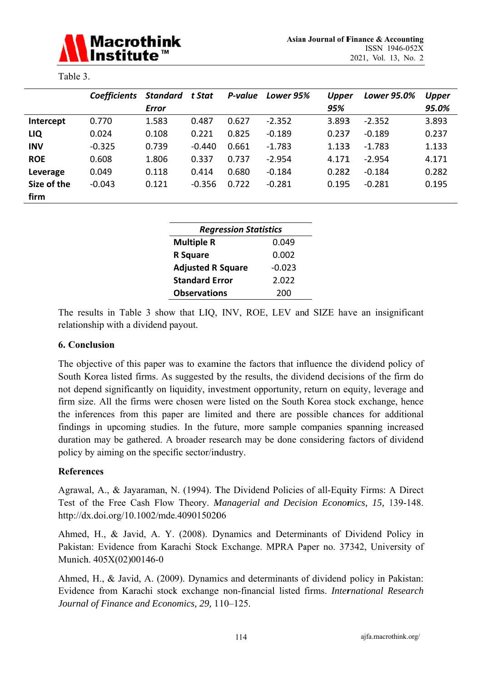

| anie |
|------|
|------|

|             | <b>Coefficients</b> | Standard     | t Stat   | P-value | Lower 95% | <b>Upper</b> | Lower 95.0% | <b>Upper</b> |
|-------------|---------------------|--------------|----------|---------|-----------|--------------|-------------|--------------|
|             |                     | <b>Error</b> |          |         |           | 95%          |             | 95.0%        |
| Intercept   | 0.770               | 1.583        | 0.487    | 0.627   | $-2.352$  | 3.893        | $-2.352$    | 3.893        |
| LIQ         | 0.024               | 0.108        | 0.221    | 0.825   | $-0.189$  | 0.237        | $-0.189$    | 0.237        |
| <b>INV</b>  | $-0.325$            | 0.739        | $-0.440$ | 0.661   | $-1.783$  | 1.133        | $-1.783$    | 1.133        |
| <b>ROE</b>  | 0.608               | 1.806        | 0.337    | 0.737   | $-2.954$  | 4.171        | $-2.954$    | 4.171        |
| Leverage    | 0.049               | 0.118        | 0.414    | 0.680   | $-0.184$  | 0.282        | $-0.184$    | 0.282        |
| Size of the | $-0.043$            | 0.121        | $-0.356$ | 0.722   | $-0.281$  | 0.195        | $-0.281$    | 0.195        |
| firm        |                     |              |          |         |           |              |             |              |

| <b>Regression Statistics</b>   |          |  |  |  |  |
|--------------------------------|----------|--|--|--|--|
| <b>Multiple R</b><br>0.049     |          |  |  |  |  |
| <b>R</b> Square                | 0.002    |  |  |  |  |
| <b>Adjusted R Square</b>       | $-0.023$ |  |  |  |  |
| <b>Standard Error</b><br>2.022 |          |  |  |  |  |
| <b>Observations</b><br>200     |          |  |  |  |  |

The results in Table 3 show that LIQ, INV, ROE, LEV and SIZE have an insignificant relationship with a dividend payout.

### **6. Conclusion**

The objective of this paper was to examine the factors that influence the dividend policy of South Korea listed firms. As suggested by the results, the dividend decisions of the firm do not depend significantly on liquidity, investment opportunity, return on equity, leverage and firm size. All the firms were chosen were listed on the South Korea stock exchange, hence the inferences from this paper are limited and there are possible chances for additional findings in upcoming studies. In the future, more sample companies spanning increased duration may be gathered. A broader research may be done considering factors of dividend policy by aiming on the specific sector/industry.

### **References**

Agrawal, A., & Jayaraman, N. (1994). The Dividend Policies of all-Equity Firms: A Direct Test of the Free Cash Flow Theory. Managerial and Decision Economics, 15, 139-148. http://dx.doi.org/10.1002/mde.4090150206

Ahmed, H., & Javid, A. Y. (2008). Dynamics and Determinants of Dividend Policy in Pakistan: Evidence from Karachi Stock Exchange. MPRA Paper no. 37342, University of Munich. 405X(02)00146-0

Ahmed, H., & Javid, A. (2009). Dynamics and determinants of dividend policy in Pakistan: Evidence from Karachi stock exchange non-financial listed firms. International Research Journal of Finance and Economics, 29, 110-125.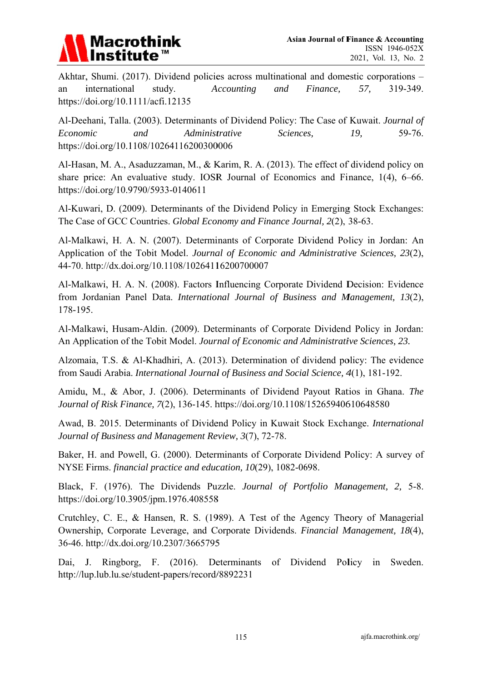

Akhtar, Shumi. (2017). Dividend policies across multinational and domestic corporations – international study. Accounting and Finance, 57, 319-349. an https://doi.org/10.1111/acfi.12135

Al-Deehani, Talla. (2003). Determinants of Dividend Policy: The Case of Kuwait. Journal of Economic and Administrative Sciences. 19. 59-76. https://doi.org/10.1108/10264116200300006

Al-Hasan, M. A., Asaduzzaman, M., & Karim, R. A. (2013). The effect of dividend policy on share price: An evaluative study. IOSR Journal of Economics and Finance, 1(4), 6-66. https://doi.org/10.9790/5933-0140611

Al-Kuwari, D. (2009). Determinants of the Dividend Policy in Emerging Stock Exchanges: The Case of GCC Countries. Global Economy and Finance Journal, 2(2), 38-63.

Al-Malkawi, H. A. N. (2007). Determinants of Corporate Dividend Policy in Jordan: An Application of the Tobit Model. Journal of Economic and Administrative Sciences, 23(2), 44-70. http://dx.doi.org/10.1108/10264116200700007

Al-Malkawi, H. A. N. (2008). Factors Influencing Corporate Dividend Decision: Evidence from Jordanian Panel Data. International Journal of Business and Management. 13(2). 178-195.

Al-Malkawi, Husam-Aldin. (2009). Determinants of Corporate Dividend Policy in Jordan: An Application of the Tobit Model. Journal of Economic and Administrative Sciences, 23.

Alzomaia, T.S. & Al-Khadhiri, A. (2013). Determination of dividend policy: The evidence from Saudi Arabia. International Journal of Business and Social Science, 4(1), 181-192.

Amidu, M., & Abor, J. (2006). Determinants of Dividend Payout Ratios in Ghana. The Journal of Risk Finance, 7(2), 136-145. https://doi.org/10.1108/15265940610648580

Awad, B. 2015. Determinants of Dividend Policy in Kuwait Stock Exchange. International Journal of Business and Management Review, 3(7), 72-78.

Baker, H. and Powell, G. (2000). Determinants of Corporate Dividend Policy: A survey of NYSE Firms. financial practice and education, 10(29), 1082-0698.

Black, F. (1976). The Dividends Puzzle. Journal of Portfolio Management, 2, 5-8. https://doi.org/10.3905/jpm.1976.408558

Crutchley, C. E., & Hansen, R. S. (1989). A Test of the Agency Theory of Managerial Ownership, Corporate Leverage, and Corporate Dividends. Financial Management, 18(4), 36-46. http://dx.doi.org/10.2307/3665795

Dai, J. Ringborg, F. (2016). Determinants of Dividend Policy in Sweden. http://lup.lub.lu.se/student-papers/record/8892231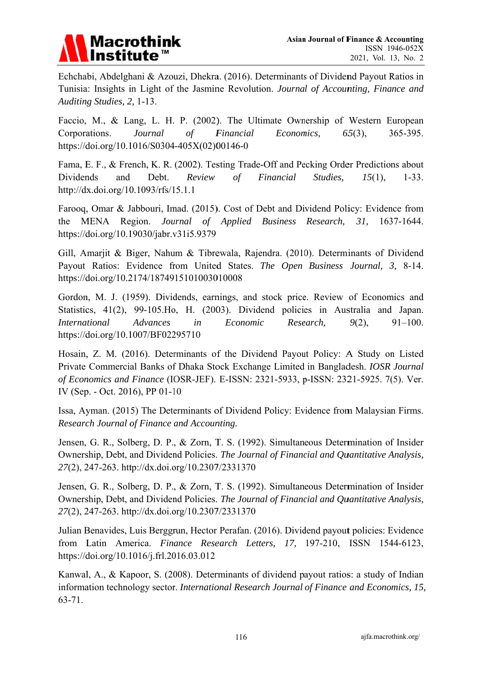# **Macrothink**

Echchabi, Abdelghani & Azouzi, Dhekra. (2016). Determinants of Dividend Payout Ratios in Tunisia: Insights in Light of the Jasmine Revolution. Journal of Accounting, Finance and Auditing Studies, 2, 1-13.

Faccio, M., & Lang, L. H. P. (2002). The Ultimate Ownership of Western European Corporations. Journal  $\overline{of}$ Financial Economics,  $65(3)$ , 365-395. https://doi.org/10.1016/S0304-405X(02)00146-0

Fama, E. F., & French, K. R. (2002). Testing Trade-Off and Pecking Order Predictions about Dividends and Debt. Review Financial Studies,  $\sigma f$  $15(1),$  $1 - 33.$ http://dx.doi.org/10.1093/rfs/15.1.1

Farooq, Omar & Jabbouri, Imad. (2015). Cost of Debt and Dividend Policy: Evidence from the MENA Region. Journal of Applied Business Research,  $31.$ 1637-1644. https://doi.org/10.19030/jabr.v31i5.9379

Gill, Amariit & Biger, Nahum & Tibrewala, Raiendra. (2010). Determinants of Dividend Payout Ratios: Evidence from United States. The Open Business Journal, 3, 8-14. https://doi.org/10.2174/1874915101003010008

Gordon, M. J. (1959). Dividends, earnings, and stock price. Review of Economics and Statistics, 41(2), 99-105. Ho, H. (2003). Dividend policies in Australia and Japan. **International** Advances  $in$ Economic Research,  $9(2)$ ,  $91 - 100.$ https://doi.org/10.1007/BF02295710

Hosain, Z. M. (2016). Determinants of the Dividend Payout Policy: A Study on Listed Private Commercial Banks of Dhaka Stock Exchange Limited in Bangladesh. IOSR Journal of Economics and Finance (IOSR-JEF). E-ISSN: 2321-5933, p-ISSN: 2321-5925. 7(5). Ver. IV (Sep. - Oct. 2016), PP 01-10

Issa, Ayman. (2015) The Determinants of Dividend Policy: Evidence from Malaysian Firms. Research Journal of Finance and Accounting.

Jensen, G. R., Solberg, D. P., & Zorn, T. S. (1992). Simultaneous Determination of Insider Ownership, Debt, and Dividend Policies. The Journal of Financial and Quantitative Analysis, 27(2), 247-263. http://dx.doi.org/10.2307/2331370

Jensen, G. R., Solberg, D. P., & Zorn, T. S. (1992). Simultaneous Determination of Insider Ownership, Debt, and Dividend Policies. The Journal of Financial and Quantitative Analysis, 27(2), 247-263. http://dx.doi.org/10.2307/2331370

Julian Benavides, Luis Berggrun, Hector Perafan. (2016). Dividend payout policies: Evidence from Latin America. Finance Research Letters, 17, 197-210, ISSN 1544-6123, https://doi.org/10.1016/j.frl.2016.03.012

Kanwal, A., & Kapoor, S. (2008). Determinants of dividend payout ratios: a study of Indian information technology sector. International Research Journal of Finance and Economics, 15,  $63 - 71.$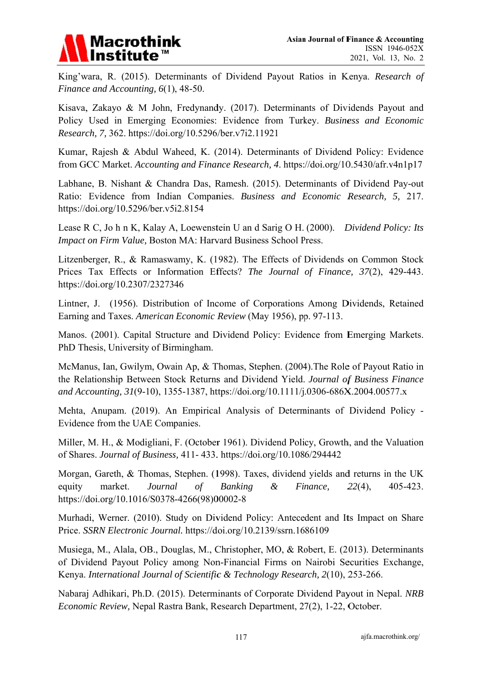

King'wara, R. (2015). Determinants of Dividend Payout Ratios in Kenya. Research of Finance and Accounting,  $6(1)$ , 48-50.

Kisava, Zakayo & M John, Fredynandy. (2017). Determinants of Dividends Payout and Policy Used in Emerging Economies: Evidence from Turkey. Business and Economic Research, 7, 362. https://doi.org/10.5296/ber.v7i2.11921

Kumar, Rajesh & Abdul Waheed, K. (2014). Determinants of Dividend Policy: Evidence from GCC Market. Accounting and Finance Research, 4. https://doi.org/10.5430/afr.v4n1p17

Labhane, B. Nishant & Chandra Das, Ramesh. (2015). Determinants of Dividend Pay-out Ratio: Evidence from Indian Companies. Business and Economic Research, 5, 217. https://doi.org/10.5296/ber.v5i2.8154

Lease R C, Jo h n K, Kalay A, Loewenstein U an d Sarig O H. (2000). Dividend Policy: Its Impact on Firm Value, Boston MA: Harvard Business School Press.

Litzenberger, R., & Ramaswamy, K. (1982). The Effects of Dividends on Common Stock Prices Tax Effects or Information Effects? The Journal of Finance, 37(2), 429-443. https://doi.org/10.2307/2327346

Lintner, J. (1956). Distribution of Income of Corporations Among Dividends, Retained Earning and Taxes. American Economic Review (May 1956), pp. 97-113.

Manos. (2001). Capital Structure and Dividend Policy: Evidence from Emerging Markets. PhD Thesis, University of Birmingham.

McManus, Ian, Gwilym, Owain Ap, & Thomas, Stephen. (2004). The Role of Payout Ratio in the Relationship Between Stock Returns and Dividend Yield. Journal of Business Finance and Accounting, 31(9-10), 1355-1387, https://doi.org/10.1111/j.0306-686X.2004.00577.x

Mehta, Anupam. (2019). An Empirical Analysis of Determinants of Dividend Policy -Evidence from the UAE Companies.

Miller, M. H., & Modigliani, F. (October 1961). Dividend Policy, Growth, and the Valuation of Shares. Journal of Business, 411-433. https://doi.org/10.1086/294442

Morgan, Gareth, & Thomas, Stephen. (1998). Taxes, dividend yields and returns in the UK market. Journal **Banking**  $\mathcal{X}$ Finance.  $22(4)$ , 405-423. equity  $\sigma f$ https://doi.org/10.1016/S0378-4266(98)00002-8

Murhadi, Werner. (2010). Study on Dividend Policy: Antecedent and Its Impact on Share Price. SSRN Electronic Journal. https://doi.org/10.2139/ssrn.1686109

Musiega, M., Alala, OB., Douglas, M., Christopher, MO, & Robert, E. (2013). Determinants of Dividend Payout Policy among Non-Financial Firms on Nairobi Securities Exchange, Kenya. International Journal of Scientific & Technology Research, 2(10), 253-266.

Nabaraj Adhikari, Ph.D. (2015). Determinants of Corporate Dividend Payout in Nepal. NRB Economic Review, Nepal Rastra Bank, Research Department, 27(2), 1-22, October.